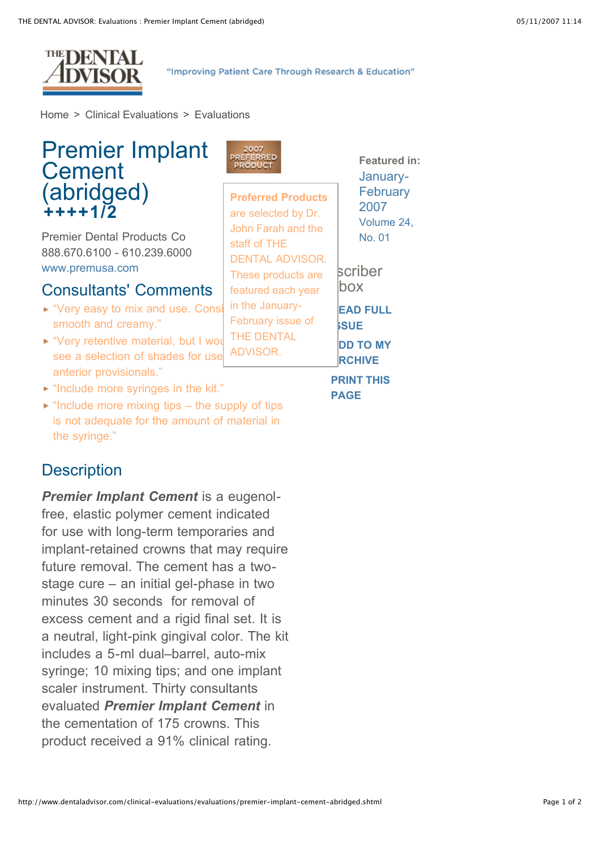

"Improving Patient Care Through Research & Education"

[Home](http://www.dentaladvisor.com/index.shtml) > Clinical [Evaluations](http://www.dentaladvisor.com/clinical-evaluations/index.shtml) > [Evaluations](http://www.dentaladvisor.com/clinical-evaluations/evaluations/index.shtml)

| <b>Premier Implant</b><br>Cement                                                                                                          | 2007<br>PREFERRED<br>PRODUCT                                                                             | <b>Featured in:</b><br>January-  |
|-------------------------------------------------------------------------------------------------------------------------------------------|----------------------------------------------------------------------------------------------------------|----------------------------------|
| $(abridged)$<br>++++1/2                                                                                                                   | <b>Preferred Products</b><br>are selected by Dr.                                                         | February<br>2007<br>Volume 24,   |
| <b>Premier Dental Products Co</b><br>888.670.6100 - 610.239.6000<br>www.premusa.com                                                       | John Farah and the<br>staff of THE<br><b>DENTAL ADVISOR.</b><br>These products are<br>featured each year | No. 01                           |
| <b>Consultants' Comments</b>                                                                                                              |                                                                                                          | scriber<br>box                   |
| ► "Very easy to mix and use. Consi<br>smooth and creamy."                                                                                 | in the January-<br>February issue of<br><b>THE DENTAL</b>                                                | <b>EAD FULL</b><br><b>SUE</b>    |
| ► "Very retentive material, but I wou<br>see a selection of shades for use                                                                | ADVISOR.                                                                                                 | <b>DD TO MY</b><br><b>RCHIVE</b> |
| anterior provisionals."<br>If "Include more syringes in the kit."<br>$\blacktriangleright$ "Include more mixing tips – the supply of tips |                                                                                                          | <b>PRINT THIS</b><br><b>PAGE</b> |
| is not adequate for the amount of material in                                                                                             |                                                                                                          |                                  |

## **Description**

the syringe."

*Premier Implant Cement* is a eugenolfree, elastic polymer cement indicated for use with long-term temporaries and implant-retained crowns that may require future removal. The cement has a twostage cure – an initial gel-phase in two minutes 30 seconds for removal of excess cement and a rigid final set. It is a neutral, light-pink gingival color. The kit includes a 5-ml dual–barrel, auto-mix syringe; 10 mixing tips; and one implant scaler instrument. Thirty consultants evaluated *Premier Implant Cement* in the cementation of 175 crowns. This product received a 91% clinical rating.